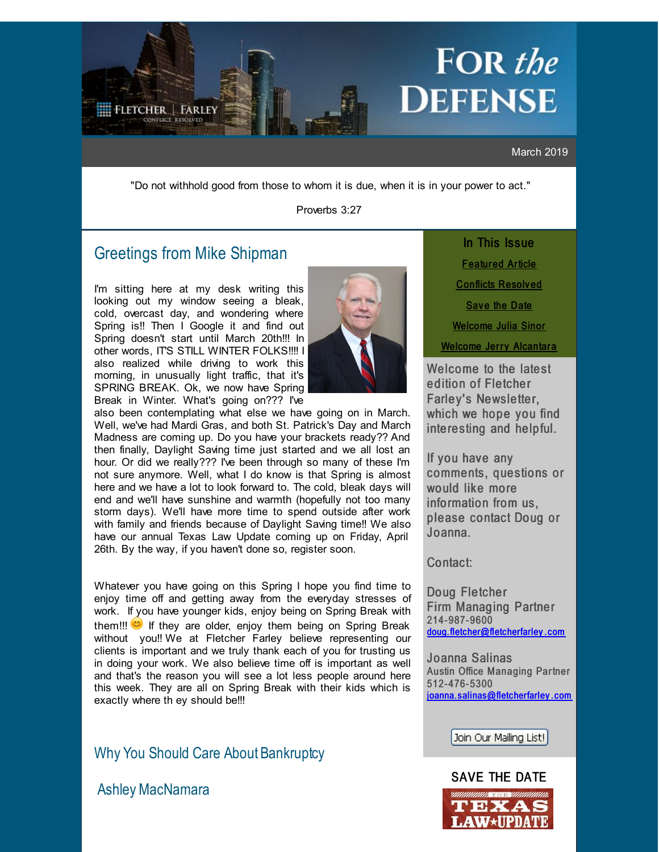# **FOR** the **DEFENSE**

March 2019

"Do not withhold good from those to whom it is due, when it is in your power to act."

Proverbs 3:27

# Greetings from Mike [Shipman](http://r20.rs6.net/tn.jsp?f=001wPW28KfY8rxVlHJJpB3mbasT-XZtDyYqx5FN2p4lHzin4JnMxQAigtuBPfk39t7DImVv3fOTCCeQhg739xW1APijH7ukJSHNggUdcofRor1S1kEI-o4hhi5bbKCkpxOmMNcRWHca2ioUos3EJCG2fFBz6p2LzLyEqEslNNPCkS5sN7aj8xQ_ot_8cOnHbArJiIeeZriAx1_t5jHEMHDjUw==&c=&ch=)

<span id="page-0-0"></span>**FLETCHER | FARLEY** 

I'm sitting here at my desk writing this looking out my window seeing a bleak, cold, overcast day, and wondering where Spring is!! Then I Google it and find out Spring doesn't start until March 20th!!! In other words, ITS STILL WINTER FOLKS!!!! I also realized while driving to work this morning, in unusually light traffic, that it's SPRING BREAK. Ok, we now have Spring Break in Winter. What's going on??? I've



also been contemplating what else we have going on in March. Well, we've had Mardi Gras, and both St. Patrick's Day and March Madness are coming up. Do you have your brackets ready?? And then finally, Daylight Saving time just started and we all lost an hour. Or did we really??? I've been through so many of these I'm not sure anymore. Well, what I do know is that Spring is almost here and we have a lot to look forward to. The cold, bleak days will end and we'll have sunshine and warmth (hopefully not too many storm days). We'll have more time to spend outside after work with family and friends because of Daylight Saving time!! We also have our annual Texas Law Update coming up on Friday, April 26th. By the way, if you haven't done so, register soon.

Whatever you have going on this Spring I hope you find time to enjoy time off and getting away from the everyday stresses of work. If you have younger kids, enjoy being on Spring Break with them!!!  $\bullet$  If they are older, enjoy them being on Spring Break without you!! We at Fletcher Farley believe representing our clients is important and we truly thank each of you for trusting us in doing your work. We also believe time off is important as well and that's the reason you will see a lot less people around here this week. They are all on Spring Break with their kids which is exactly where th ey should be!!!

Why You Should Care About Bankruptcy

Ashley [MacNamara](http://r20.rs6.net/tn.jsp?f=001wPW28KfY8rxVlHJJpB3mbasT-XZtDyYqx5FN2p4lHzin4JnMxQAigu4jtx5e4oWxtDLRbH48Dg2lQ3uFVracmTuyLncwTqInqp_KAttaG-c4QJecj31-YBuMT_rwhIS070nKRtJ__su2JSzfEzhyFwH5PGlzF8d7NSX7syeD8ir398mFHRkWnv0gvKc_3L1Z7ZVFiww48IBgGU7WGcKBOh-9MYyXKAMBBWIMY0o5Q_U=&c=&ch=)

In This Issue **[Featur](#page-0-0)ed Article** [Conflicts](#page-0-0) Resolv ed Save the [Date](#page-0-0)

[Welcome](#page-0-0) Julia Sinor

[Welcome](#page-0-0) Jerry Alcantara

Welcome to the latest edition of Fletcher Farley's Newsletter, which we hope you find interesting and helpful.

If you have any comments, questions or would like more information from us, please contact Doug or Joanna.

Contact:

Doug Fletcher Firm Managing Partner 214-987-9600 [doug.fletcher@fletcherfarley](mailto:doug.fletcher@fletcherfarley.com).com

Joanna Salinas Austin Office Managing Partner 512- 476- 5300 joanna. [salinas@fletcherfarley](mailto:joanna.salinas@fletcherfarley.com) . com

Join Our Mailing List!

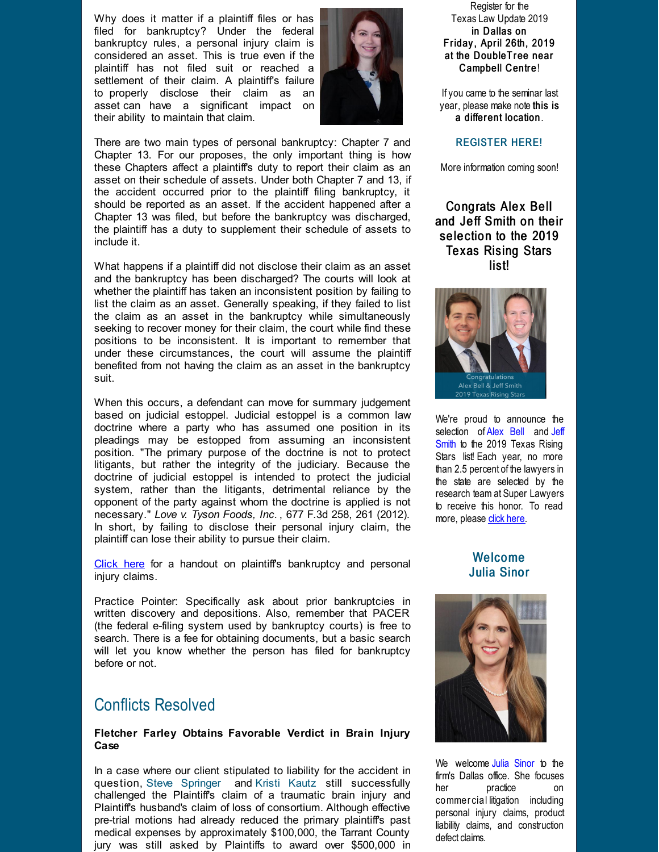Why does it matter if a plaintiff files or has filed for bankruptcy? Under the federal bankruptcy rules, a personal injury claim is considered an asset. This is true even if the plaintiff has not filed suit or reached a settlement of their claim. A plaintiff's failure to properly disclose their claim as an asset can have a significant impact on their ability to maintain that claim.



There are two main types of personal bankruptcy: Chapter 7 and Chapter 13. For our proposes, the only important thing is how these Chapters affect a plaintiff's duty to report their claim as an asset on their schedule of assets. Under both Chapter 7 and 13, if the accident occurred prior to the plaintiff filing bankruptcy, it should be reported as an asset. If the accident happened after a Chapter 13 was filed, but before the bankruptcy was discharged, the plaintiff has a duty to supplement their schedule of assets to include it.

What happens if a plaintiff did not disclose their claim as an asset and the bankruptcy has been discharged? The courts will look at whether the plaintiff has taken an inconsistent position by failing to list the claim as an asset. Generally speaking, if they failed to list the claim as an asset in the bankruptcy while simultaneously seeking to recover money for their claim, the court while find these positions to be inconsistent. It is important to remember that under these circumstances, the court will assume the plaintiff benefited from not having the claim as an asset in the bankruptcy suit.

When this occurs, a defendant can move for summary judgement based on judicial estoppel. Judicial estoppel is a common law doctrine where a party who has assumed one position in its pleadings may be estopped from assuming an inconsistent position. "The primary purpose of the doctrine is not to protect litigants, but rather the integrity of the judiciary. Because the doctrine of judicial estoppel is intended to protect the judicial system, rather than the litigants, detrimental reliance by the opponent of the party against whom the doctrine is applied is not necessary." *Love v. Tyson Foods, Inc.* , 677 F.3d 258, 261 (2012). In short, by failing to disclose their personal injury claim, the plaintiff can lose their ability to pursue their claim.

[Click here](http://r20.rs6.net/tn.jsp?f=001wPW28KfY8rxVlHJJpB3mbasT-XZtDyYqx5FN2p4lHzin4JnMxQAigskiP0hpqN0sSuS66K2M4OUxGmTn51r859mrrvK5ISYUyMavqFGj35aile7Alpz7gC2XmaSyvhPkV7yecVMHujgyg2e2Ds5jVwOWnGG7rdzylFNPaTnkqnqoBn0C2vf_ImmSzHi2w8wg5DM0Te_vtAfLNDp0Sjmxl9Ljv4oUftOYTnChChb7h0M9vIiyaefWu4iA93IVeTRK&c=&ch=) for a handout on plaintiff's bankruptcy and personal injury claims.

Practice Pointer: Specifically ask about prior bankruptcies in written discovery and depositions. Also, remember that PACER (the federal e-filing system used by bankruptcy courts) is free to search. There is a fee for obtaining documents, but a basic search will let you know whether the person has filed for bankruptcy before or not.

## Conflicts Resolved

#### **Fletcher Farley Obtains Favorable Verdict in Brain Injury Case**

In a case where our client stipulated to liability for the accident in question, [Steve Springer](http://r20.rs6.net/tn.jsp?f=001wPW28KfY8rxVlHJJpB3mbasT-XZtDyYqx5FN2p4lHzin4JnMxQAigt8Y_AUvDH3qUxagAa9t94j1cxgqzrrNH9CEBX8hPLR1rspbeiYLNdsqtg-tJLUAaP0YDB7XXozKRxe-cdjdSlXOpSpO2E_wMJxiaP85UKuP4FLkuykSwA6IJgFQ9EKt2dTlLWF75X0vcLAi1Jbani4sneHaHORNJA==&c=&ch=) and [Kristi Kautz](http://r20.rs6.net/tn.jsp?f=001wPW28KfY8rxVlHJJpB3mbasT-XZtDyYqx5FN2p4lHzin4JnMxQAigtuBPfk39t7DNeCF9TA83LUX_VYjVHI2BoABqbhI6CmPLpMITVJswZeK3YqUu_yo8r0Fm0QFDHQHvhugeyj1TWDHTLSPD5ZJMq8O1lw6cqt1zqZ8HCts8dGBEL2fbXORF5_ZK6X3kB2CIUDVTCBB0namFF6e9rFUvA==&c=&ch=) still successfully challenged the Plaintiff's claim of a traumatic brain injury and Plaintiff's husband's claim of loss of consortium. Although effective pre-trial motions had already reduced the primary plaintiff's past medical expenses by approximately \$100,000, the Tarrant County jury was still asked by Plaintiffs to award over \$500,000 in

Register for the Texas Law Update 2019 in Dallas on Friday, April 26th, 2019 at the DoubleTree near Campbell Centre!

If you came to the seminar last year, please make note this is a different location.

#### **REGISTER HERE!**

More information coming soon!

Congrats Alex Bell and Jeff Smith on their selection to the 2019 Texas Rising Stars list!



We're proud to announce the [selection of](http://r20.rs6.net/tn.jsp?f=001wPW28KfY8rxVlHJJpB3mbasT-XZtDyYqx5FN2p4lHzin4JnMxQAigpnyndmkK5Z1D0cl3ycgoiFoiwPZlotl-Z31aXaR6HT4UF-89A0K1uhVJRvP55I_Yko6TwkekgmdGswj0qCUW4aRhpN0Aq-Dx-3Xtbzyc61so3bDjwpX52UuJq-D7B5c-dHY9Im9klP78JC_9EiA6YWcTvU4cg_TrQ==&c=&ch=) [Alex Bel](http://r20.rs6.net/tn.jsp?f=001wPW28KfY8rxVlHJJpB3mbasT-XZtDyYqx5FN2p4lHzin4JnMxQAigu4jtx5e4oWxT0w4TMhsI0WKkdKajg0rNZaebeMlR3J_9UkEv3zNHVn_zR0x_O3oohCZDvFdsJuP1MJTTXLYFj2HaQvNZ0xh2A3BE-YGectgmy77pzx587mQBzxRXRddI57hUzq8pCDIaFI2Jl8jbu4=&c=&ch=)[l and Jeff](http://r20.rs6.net/tn.jsp?f=001wPW28KfY8rxVlHJJpB3mbasT-XZtDyYqx5FN2p4lHzin4JnMxQAigpnyndmkK5Z1D0cl3ycgoiFoiwPZlotl-Z31aXaR6HT4UF-89A0K1uhVJRvP55I_Yko6TwkekgmdGswj0qCUW4aRhpN0Aq-Dx-3Xtbzyc61so3bDjwpX52UuJq-D7B5c-dHY9Im9klP78JC_9EiA6YWcTvU4cg_TrQ==&c=&ch=) Smith to the 2019 Texas Rising Stars list! Each year, no more than 2.5 percent of the lawyers in the state are selected by the research team at Super Lawyers to receive this honor. To read more, please [click here](http://r20.rs6.net/tn.jsp?f=001wPW28KfY8rxVlHJJpB3mbasT-XZtDyYqx5FN2p4lHzin4JnMxQAigskiP0hpqN0s9_i4RsSL7MCZujaLKWIAD-fTVjy4jNUm7iO32JIScn2-n4DnEC-JR3G0ZkdWaTFyO4D1WMn2QphZwJ4nOnTgF8C89yf2h2Jy9gUyqQAoL67QGv3cRIvflT2Xg_anrAumKhQoxuh0TNFaVPkFvE5bqPrZB4n_VErvCJknS4PBQ_wGxENV4ZyjwTwmGHW65bTs0H4cG2H3Wp-comDhj2nSKbXmM5TCHiy8&c=&ch=).

### Welcome Julia Sinor



We welcome [Julia Sinor](http://r20.rs6.net/tn.jsp?f=001wPW28KfY8rxVlHJJpB3mbasT-XZtDyYqx5FN2p4lHzin4JnMxQAigjup33kDvjwMmcEgyP3UZCf-hFUV6W6AwlcANvkObRvCEqGXVCUn_p2ECQK5szm0eMhlNOk72H2IcKTnxseo_fUmYHJG6N3ECqj_xurD6lvzlcN5G_dLcR88SemZI7CfJF56ueWziuHAM_jt8DvNVwMMDp89Q3ZRbA==&c=&ch=) to the firm's Dallas office. She focuses her practice on commer cial litigation including personal injury claims, product liability claims, and construction defect claims.